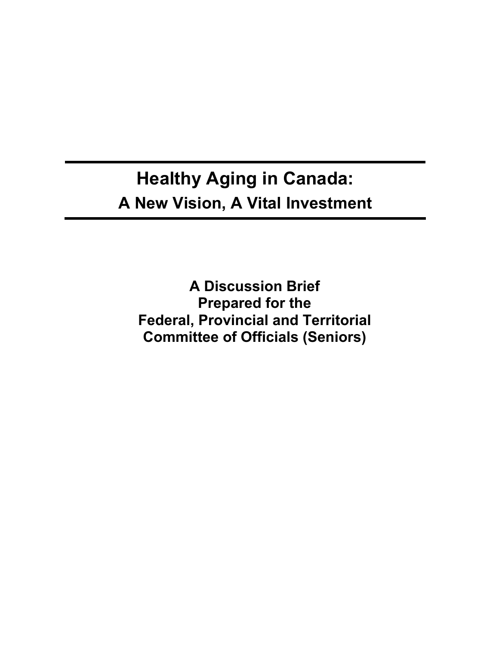# **Healthy Aging in Canada: A New Vision, A Vital Investment**

**A Discussion Brief Prepared for the Federal, Provincial and Territorial Committee of Officials (Seniors)**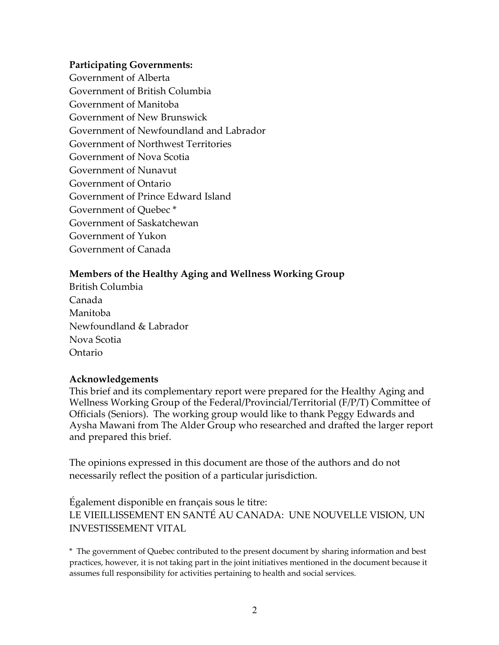#### **Participating Governments:**

Government of Alberta Government of British Columbia Government of Manitoba Government of New Brunswick Government of Newfoundland and Labrador Government of Northwest Territories Government of Nova Scotia Government of Nunavut Government of Ontario Government of Prince Edward Island Government of Quebec \* Government of Saskatchewan Government of Yukon Government of Canada

#### **Members of the Healthy Aging and Wellness Working Group**

British Columbia Canada Manitoba Newfoundland & Labrador Nova Scotia Ontario

#### **Acknowledgements**

This brief and its complementary report were prepared for the Healthy Aging and Wellness Working Group of the Federal/Provincial/Territorial (F/P/T) Committee of Officials (Seniors).The working group would like to thank Peggy Edwards and Aysha Mawani from The Alder Group who researched and drafted the larger report and prepared this brief.

The opinions expressed in this document are those of the authors and do not necessarily reflect the position of a particular jurisdiction.

Également disponible en français sous le titre: LE VIEILLISSEMENT EN SANTÉ AU CANADA: UNE NOUVELLE VISION, UN INVESTISSEMENT VITAL

\* The government of Quebec contributed to the present document by sharing information and best practices, however, it is not taking part in the joint initiatives mentioned in the document because it assumes full responsibility for activities pertaining to health and social services.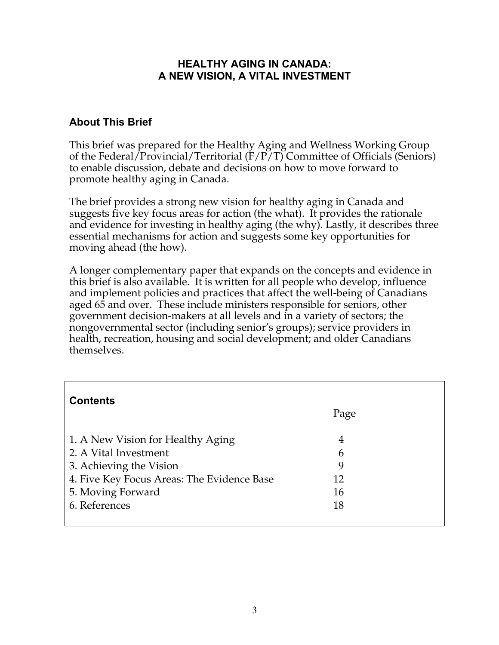#### **HEALTHY AGING IN CANADA: A NEW VISION, A VITAL INVESTMENT**

## **About This Brief**

This brief was prepared for the Healthy Aging and Wellness Working Group of the Federal/Provincial/Territorial (F/P/T) Committee of Officials (Seniors) to enable discussion, debate and decisions on how to move forward to promote healthy aging in Canada.

The brief provides a strong new vision for healthy aging in Canada and suggests five key focus areas for action (the what). It provides the rationale and evidence for investing in healthy aging (the why). Lastly, it describes three essential mechanisms for action and suggests some key opportunities for moving ahead (the how).

A longer complementary paper that expands on the concepts and evidence in this brief is also available. It is written for all people who develop, influence and implement policies and practices that affect the well-being of Canadians aged 65 and over. These include ministers responsible for seniors, other government decision-makers at all levels and in a variety of sectors; the nongovernmental sector (including senior's groups); service providers in health, recreation, housing and social development; and older Canadians themselves.

| <b>Contents</b>                                                       | Page     |  |
|-----------------------------------------------------------------------|----------|--|
| 1. A New Vision for Healthy Aging<br>2. A Vital Investment            | 4<br>6   |  |
| 3. Achieving the Vision<br>4. Five Key Focus Areas: The Evidence Base | 9<br>12  |  |
| 5. Moving Forward<br>6. References                                    | 16<br>18 |  |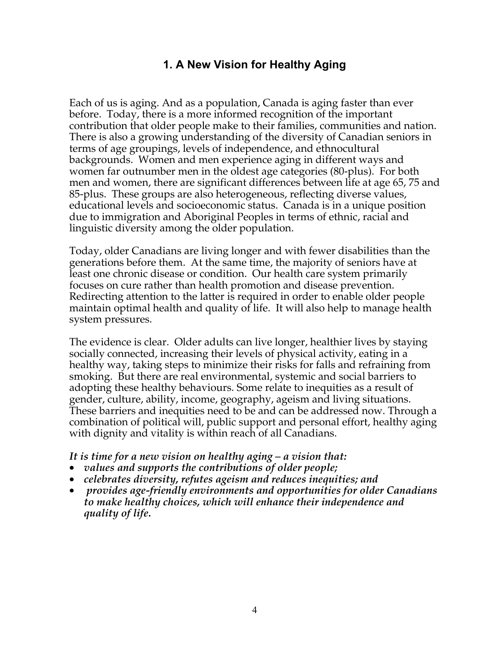# **1. A New Vision for Healthy Aging**

Each of us is aging. And as a population, Canada is aging faster than ever before. Today, there is a more informed recognition of the important contribution that older people make to their families, communities and nation. There is also a growing understanding of the diversity of Canadian seniors in terms of age groupings, levels of independence, and ethnocultural backgrounds. Women and men experience aging in different ways and women far outnumber men in the oldest age categories (80-plus). For both men and women, there are significant differences between life at age 65, 75 and 85-plus. These groups are also heterogeneous, reflecting diverse values, educational levels and socioeconomic status. Canada is in a unique position due to immigration and Aboriginal Peoples in terms of ethnic, racial and linguistic diversity among the older population.

Today, older Canadians are living longer and with fewer disabilities than the generations before them. At the same time, the majority of seniors have at least one chronic disease or condition. Our health care system primarily focuses on cure rather than health promotion and disease prevention. Redirecting attention to the latter is required in order to enable older people maintain optimal health and quality of life. It will also help to manage health system pressures.

The evidence is clear. Older adults can live longer, healthier lives by staying socially connected, increasing their levels of physical activity, eating in a healthy way, taking steps to minimize their risks for falls and refraining from smoking. But there are real environmental, systemic and social barriers to adopting these healthy behaviours. Some relate to inequities as a result of gender, culture, ability, income, geography, ageism and living situations. These barriers and inequities need to be and can be addressed now. Through a combination of political will, public support and personal effort, healthy aging with dignity and vitality is within reach of all Canadians.

#### *It is time for a new vision on healthy aging – a vision that:*

- *values and supports the contributions of older people;*
- *celebrates diversity, refutes ageism and reduces inequities; and*
- • *provides age-friendly environments and opportunities for older Canadians to make healthy choices, which will enhance their independence and quality of life.*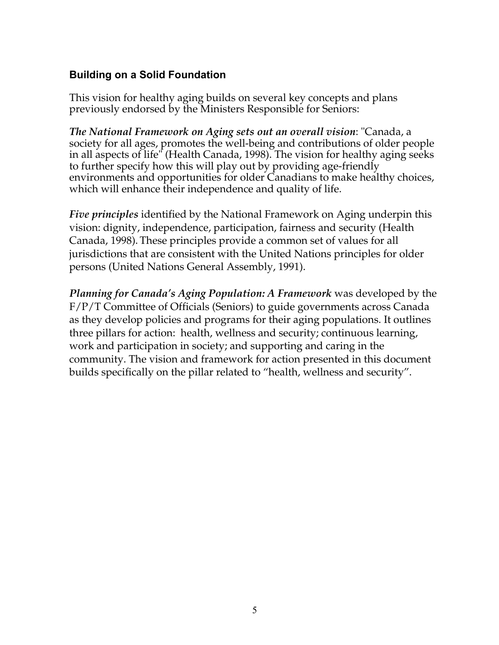### **Building on a Solid Foundation**

This vision for healthy aging builds on several key concepts and plans previously endorsed by the Ministers Responsible for Seniors:

*The National Framework on Aging sets out an overall vision*: "Canada, a society for all ages, promotes the well-being and contributions of older people in all aspects of life" (Health Canada, 1998). The vision for healthy aging seeks to further specify how this will play out by providing age-friendly environments and opportunities for older Canadians to make healthy choices, which will enhance their independence and quality of life.

*Five principles* identified by the National Framework on Aging underpin this vision: dignity, independence, participation, fairness and security (Health Canada, 1998). These principles provide a common set of values for all jurisdictions that are consistent with the United Nations principles for older persons (United Nations General Assembly, 1991).

*Planning for Canada's Aging Population: A Framework* was developed by the F/P/T Committee of Officials (Seniors) to guide governments across Canada as they develop policies and programs for their aging populations. It outlines three pillars for action: health, wellness and security; continuous learning, work and participation in society; and supporting and caring in the community. The vision and framework for action presented in this document builds specifically on the pillar related to "health, wellness and security".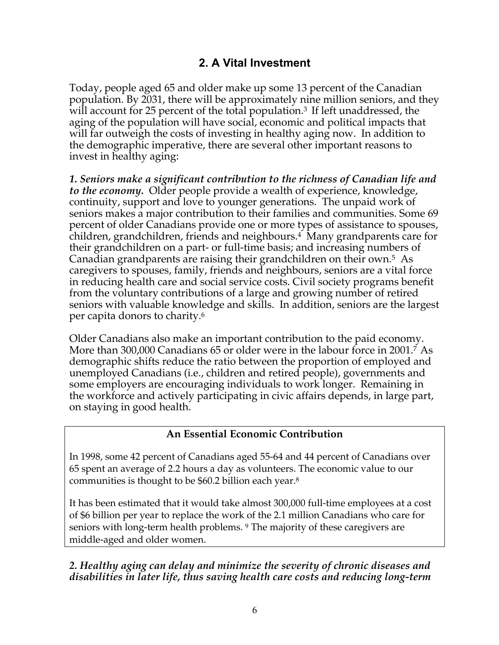# **2. A Vital Investment**

Today, people aged 65 and older make up some 13 percent of the Canadian population. By 2031, there will be approximately nine million seniors, and they will account for 25 percent of the total population.<sup>3</sup> If left unaddressed, the aging of the population will have social, economic and political impacts that will far outweigh the costs of investing in healthy aging now. In addition to the demographic imperative, there are several other important reasons to invest in healthy aging:

*1. Seniors make a significant contribution to the richness of Canadian life and to the economy.* Older people provide a wealth of experience, knowledge, continuity, support and love to younger generations. The unpaid work of seniors makes a major contribution to their families and communities. Some 69 percent of older Canadians provide one or more types of assistance to spouses, children, grandchildren, friends and neighbours.<sup>4</sup> Many grandparents care for their grandchildren on a part- or full-time basis; and increasing numbers of Canadian grandparents are raising their grandchildren on their own.5 As caregivers to spouses, family, friends and neighbours, seniors are a vital force in reducing health care and social service costs. Civil society programs benefit from the voluntary contributions of a large and growing number of retired seniors with valuable knowledge and skills. In addition, seniors are the largest per capita donors to charity.6

Older Canadians also make an important contribution to the paid economy. More than 300,000 Canadians 65 or older were in the labour force in 2001.7 As demographic shifts reduce the ratio between the proportion of employed and unemployed Canadians (i.e., children and retired people), governments and some employers are encouraging individuals to work longer. Remaining in the workforce and actively participating in civic affairs depends, in large part, on staying in good health.

### **An Essential Economic Contribution**

In 1998, some 42 percent of Canadians aged 55-64 and 44 percent of Canadians over 65 spent an average of 2.2 hours a day as volunteers. The economic value to our communities is thought to be \$60.2 billion each year.8

It has been estimated that it would take almost 300,000 full-time employees at a cost of \$6 billion per year to replace the work of the 2.1 million Canadians who care for seniors with long-term health problems. 9 The majority of these caregivers are middle-aged and older women.

### *2. Healthy aging can delay and minimize the severity of chronic diseases and disabilities in later life, thus saving health care costs and reducing long-term*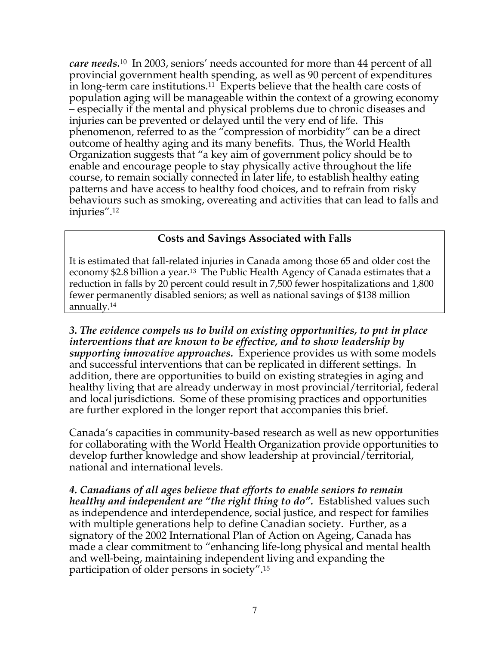*care needs.*10 In 2003, seniors' needs accounted for more than 44 percent of all provincial government health spending, as well as 90 percent of expenditures in long-term care institutions.11 Experts believe that the health care costs of population aging will be manageable within the context of a growing economy – especially if the mental and physical problems due to chronic diseases and injuries can be prevented or delayed until the very end of life. This phenomenon, referred to as the "compression of morbidity" can be a direct outcome of healthy aging and its many benefits. Thus, the World Health Organization suggests that "a key aim of government policy should be to enable and encourage people to stay physically active throughout the life course, to remain socially connected in later life, to establish healthy eating patterns and have access to healthy food choices, and to refrain from risky behaviours such as smoking, overeating and activities that can lead to falls and injuries".12

### **Costs and Savings Associated with Falls**

It is estimated that fall-related injuries in Canada among those 65 and older cost the economy \$2.8 billion a year.<sup>13</sup> The Public Health Agency of Canada estimates that a reduction in falls by 20 percent could result in 7,500 fewer hospitalizations and 1,800 fewer permanently disabled seniors; as well as national savings of \$138 million annually.14

*3. The evidence compels us to build on existing opportunities, to put in place interventions that are known to be effective, and to show leadership by supporting innovative approaches.* Experience provides us with some models and successful interventions that can be replicated in different settings. In addition, there are opportunities to build on existing strategies in aging and healthy living that are already underway in most provincial/territorial, federal and local jurisdictions. Some of these promising practices and opportunities are further explored in the longer report that accompanies this brief.

Canada's capacities in community-based research as well as new opportunities for collaborating with the World Health Organization provide opportunities to develop further knowledge and show leadership at provincial/territorial, national and international levels.

*4. Canadians of all ages believe that efforts to enable seniors to remain healthy and independent are "the right thing to do".* Established values such as independence and interdependence, social justice, and respect for families with multiple generations help to define Canadian society. Further, as a signatory of the 2002 International Plan of Action on Ageing, Canada has made a clear commitment to "enhancing life-long physical and mental health and well-being, maintaining independent living and expanding the participation of older persons in society".15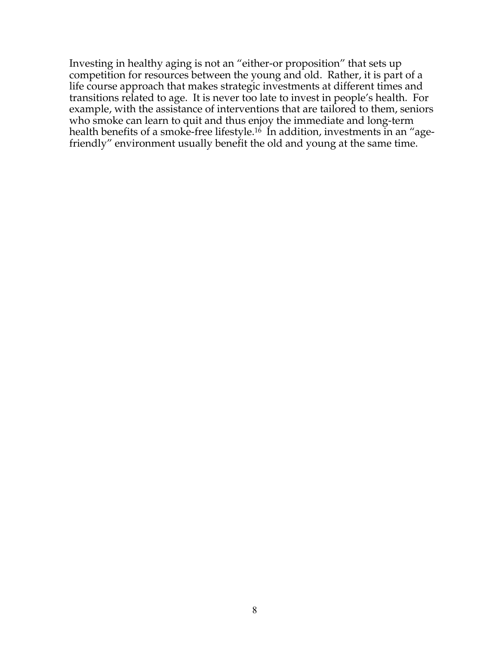Investing in healthy aging is not an "either-or proposition" that sets up competition for resources between the young and old. Rather, it is part of a life course approach that makes strategic investments at different times and transitions related to age. It is never too late to invest in people's health. For example, with the assistance of interventions that are tailored to them, seniors who smoke can learn to quit and thus enjoy the immediate and long-term health benefits of a smoke-free lifestyle.<sup>16</sup> In addition, investments in an "agefriendly" environment usually benefit the old and young at the same time.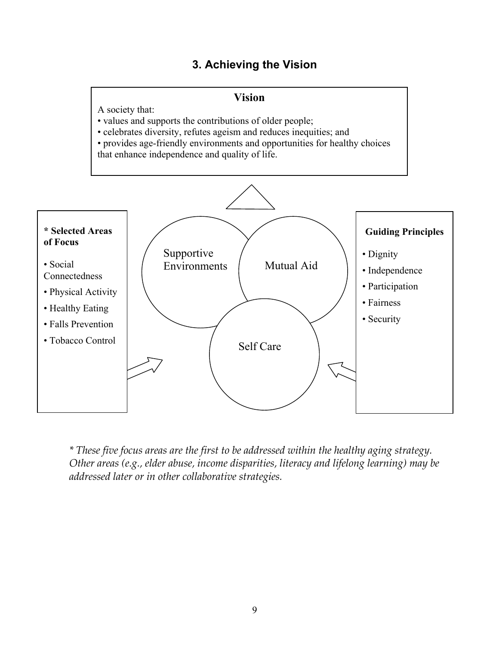# **3. Achieving the Vision**

#### **Vision**

A society that:

• values and supports the contributions of older people;

• celebrates diversity, refutes ageism and reduces inequities; and

• provides age-friendly environments and opportunities for healthy choices that enhance independence and quality of life.



*\* These five focus areas are the first to be addressed within the healthy aging strategy. Other areas (e.g., elder abuse, income disparities, literacy and lifelong learning) may be addressed later or in other collaborative strategies.*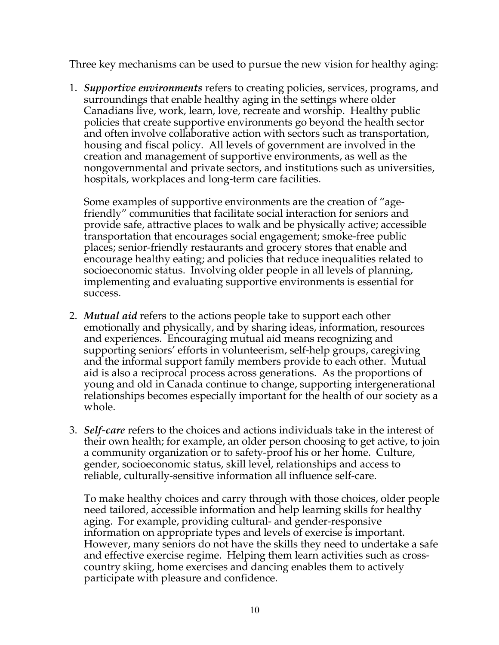Three key mechanisms can be used to pursue the new vision for healthy aging:

1. *Supportive environments* refers to creating policies, services, programs, and surroundings that enable healthy aging in the settings where older Canadians live, work, learn, love, recreate and worship. Healthy public policies that create supportive environments go beyond the health sector and often involve collaborative action with sectors such as transportation, housing and fiscal policy. All levels of government are involved in the creation and management of supportive environments, as well as the nongovernmental and private sectors, and institutions such as universities, hospitals, workplaces and long-term care facilities.

Some examples of supportive environments are the creation of "agefriendly" communities that facilitate social interaction for seniors and provide safe, attractive places to walk and be physically active; accessible transportation that encourages social engagement; smoke-free public places; senior-friendly restaurants and grocery stores that enable and encourage healthy eating; and policies that reduce inequalities related to socioeconomic status. Involving older people in all levels of planning, implementing and evaluating supportive environments is essential for success.

- 2. *Mutual aid* refers to the actions people take to support each other emotionally and physically, and by sharing ideas, information, resources and experiences. Encouraging mutual aid means recognizing and supporting seniors' efforts in volunteerism, self-help groups, caregiving and the informal support family members provide to each other. Mutual aid is also a reciprocal process across generations. As the proportions of young and old in Canada continue to change, supporting intergenerational relationships becomes especially important for the health of our society as a whole.
- 3. *Self-care* refers to the choices and actions individuals take in the interest of their own health; for example, an older person choosing to get active, to join a community organization or to safety-proof his or her home. Culture, gender, socioeconomic status, skill level, relationships and access to reliable, culturally-sensitive information all influence self-care.

To make healthy choices and carry through with those choices, older people need tailored, accessible information and help learning skills for healthy aging. For example, providing cultural- and gender-responsive information on appropriate types and levels of exercise is important. However, many seniors do not have the skills they need to undertake a safe and effective exercise regime. Helping them learn activities such as crosscountry skiing, home exercises and dancing enables them to actively participate with pleasure and confidence.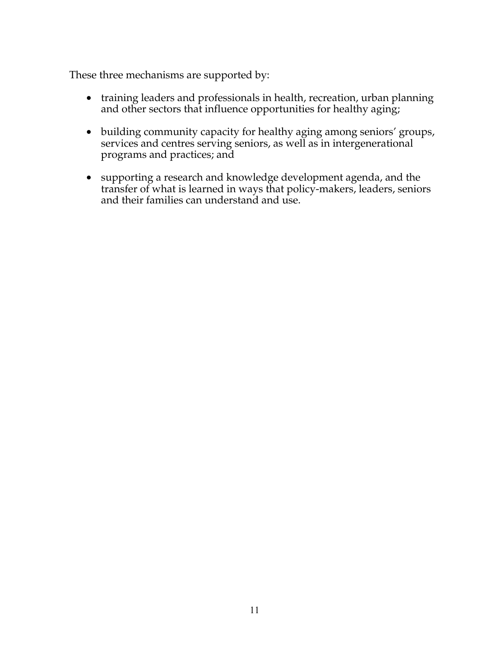These three mechanisms are supported by:

- training leaders and professionals in health, recreation, urban planning and other sectors that influence opportunities for healthy aging;
- building community capacity for healthy aging among seniors' groups, services and centres serving seniors, as well as in intergenerational programs and practices; and
- supporting a research and knowledge development agenda, and the transfer of what is learned in ways that policy-makers, leaders, seniors and their families can understand and use.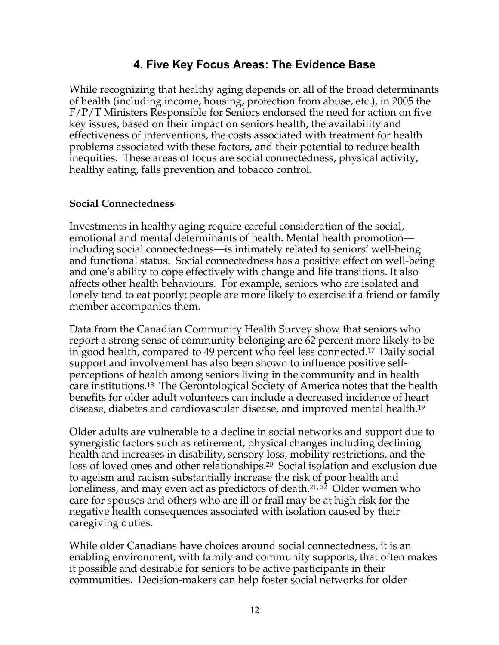# **4. Five Key Focus Areas: The Evidence Base**

While recognizing that healthy aging depends on all of the broad determinants of health (including income, housing, protection from abuse, etc.), in 2005 the F/P/T Ministers Responsible for Seniors endorsed the need for action on five key issues, based on their impact on seniors health, the availability and effectiveness of interventions, the costs associated with treatment for health problems associated with these factors, and their potential to reduce health inequities. These areas of focus are social connectedness, physical activity, healthy eating, falls prevention and tobacco control.

### **Social Connectedness**

Investments in healthy aging require careful consideration of the social, emotional and mental determinants of health. Mental health promotion including social connectedness—is intimately related to seniors' well-being and functional status. Social connectedness has a positive effect on well-being and one's ability to cope effectively with change and life transitions. It also affects other health behaviours. For example, seniors who are isolated and lonely tend to eat poorly; people are more likely to exercise if a friend or family member accompanies them.

Data from the Canadian Community Health Survey show that seniors who report a strong sense of community belonging are 62 percent more likely to be in good health, compared to 49 percent who feel less connected.17 Daily social support and involvement has also been shown to influence positive selfperceptions of health among seniors living in the community and in health care institutions.18 The Gerontological Society of America notes that the health benefits for older adult volunteers can include a decreased incidence of heart disease, diabetes and cardiovascular disease, and improved mental health.19

Older adults are vulnerable to a decline in social networks and support due to synergistic factors such as retirement, physical changes including declining health and increases in disability, sensory loss, mobility restrictions, and the loss of loved ones and other relationships.20 Social isolation and exclusion due to ageism and racism substantially increase the risk of poor health and loneliness, and may even act as predictors of death.21, 22 Older women who care for spouses and others who are ill or frail may be at high risk for the negative health consequences associated with isolation caused by their caregiving duties.

While older Canadians have choices around social connectedness, it is an enabling environment, with family and community supports, that often makes it possible and desirable for seniors to be active participants in their communities. Decision-makers can help foster social networks for older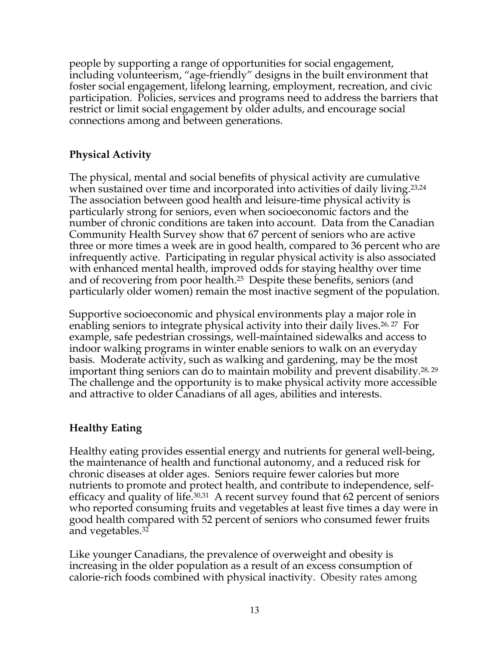people by supporting a range of opportunities for social engagement, including volunteerism, "age-friendly" designs in the built environment that foster social engagement, lifelong learning, employment, recreation, and civic participation. Policies, services and programs need to address the barriers that restrict or limit social engagement by older adults, and encourage social connections among and between generations.

# **Physical Activity**

The physical, mental and social benefits of physical activity are cumulative when sustained over time and incorporated into activities of daily living.<sup>23,24</sup> The association between good health and leisure-time physical activity is particularly strong for seniors, even when socioeconomic factors and the number of chronic conditions are taken into account. Data from the Canadian Community Health Survey show that 67 percent of seniors who are active three or more times a week are in good health, compared to 36 percent who are infrequently active. Participating in regular physical activity is also associated with enhanced mental health, improved odds for staying healthy over time and of recovering from poor health.25 Despite these benefits, seniors (and particularly older women) remain the most inactive segment of the population.

Supportive socioeconomic and physical environments play a major role in enabling seniors to integrate physical activity into their daily lives.<sup>26, 27</sup> For example, safe pedestrian crossings, well-maintained sidewalks and access to indoor walking programs in winter enable seniors to walk on an everyday basis. Moderate activity, such as walking and gardening, may be the most important thing seniors can do to maintain mobility and prevent disability.28, 29 The challenge and the opportunity is to make physical activity more accessible and attractive to older Canadians of all ages, abilities and interests.

# **Healthy Eating**

Healthy eating provides essential energy and nutrients for general well-being, the maintenance of health and functional autonomy, and a reduced risk for chronic diseases at older ages. Seniors require fewer calories but more nutrients to promote and protect health, and contribute to independence, selfefficacy and quality of life.30,31 A recent survey found that 62 percent of seniors who reported consuming fruits and vegetables at least five times a day were in good health compared with 52 percent of seniors who consumed fewer fruits and vegetables.32

Like younger Canadians, the prevalence of overweight and obesity is increasing in the older population as a result of an excess consumption of calorie-rich foods combined with physical inactivity. Obesity rates among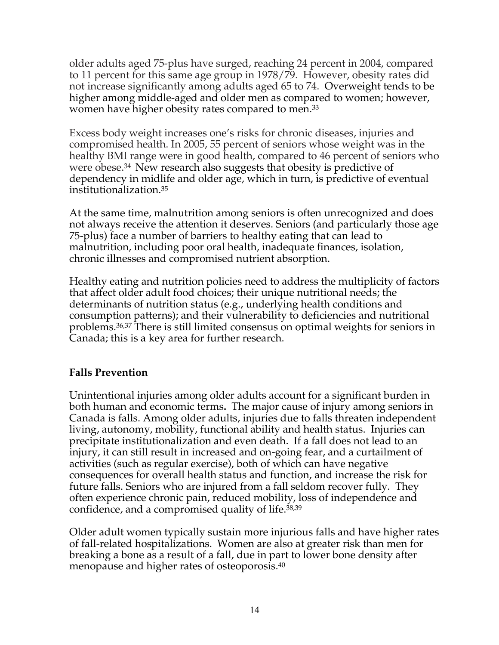older adults aged 75-plus have surged, reaching 24 percent in 2004, compared to 11 percent for this same age group in 1978/79. However, obesity rates did not increase significantly among adults aged 65 to 74. Overweight tends to be higher among middle-aged and older men as compared to women; however, women have higher obesity rates compared to men.33

Excess body weight increases one's risks for chronic diseases, injuries and compromised health. In 2005, 55 percent of seniors whose weight was in the healthy BMI range were in good health, compared to 46 percent of seniors who were obese.34 New research also suggests that obesity is predictive of dependency in midlife and older age, which in turn, is predictive of eventual institutionalization.35

At the same time, malnutrition among seniors is often unrecognized and does not always receive the attention it deserves. Seniors (and particularly those age 75-plus) face a number of barriers to healthy eating that can lead to malnutrition, including poor oral health, inadequate finances, isolation, chronic illnesses and compromised nutrient absorption.

Healthy eating and nutrition policies need to address the multiplicity of factors that affect older adult food choices; their unique nutritional needs; the determinants of nutrition status (e.g., underlying health conditions and consumption patterns); and their vulnerability to deficiencies and nutritional problems.36,37 There is still limited consensus on optimal weights for seniors in Canada; this is a key area for further research.

# **Falls Prevention**

Unintentional injuries among older adults account for a significant burden in both human and economic terms**.** The major cause of injury among seniors in Canada is falls. Among older adults, injuries due to falls threaten independent living, autonomy, mobility, functional ability and health status. Injuries can precipitate institutionalization and even death. If a fall does not lead to an injury, it can still result in increased and on-going fear, and a curtailment of activities (such as regular exercise), both of which can have negative consequences for overall health status and function, and increase the risk for future falls. Seniors who are injured from a fall seldom recover fully. They often experience chronic pain, reduced mobility, loss of independence and confidence, and a compromised quality of life.38,39

Older adult women typically sustain more injurious falls and have higher rates of fall-related hospitalizations. Women are also at greater risk than men for breaking a bone as a result of a fall, due in part to lower bone density after menopause and higher rates of osteoporosis.40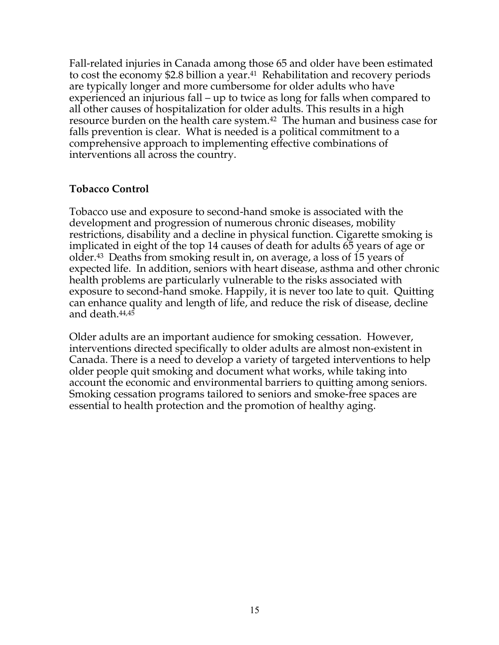Fall-related injuries in Canada among those 65 and older have been estimated to cost the economy \$2.8 billion a year.41 Rehabilitation and recovery periods are typically longer and more cumbersome for older adults who have experienced an injurious fall – up to twice as long for falls when compared to all other causes of hospitalization for older adults. This results in a high resource burden on the health care system.42 The human and business case for falls prevention is clear. What is needed is a political commitment to a comprehensive approach to implementing effective combinations of interventions all across the country.

#### **Tobacco Control**

Tobacco use and exposure to second-hand smoke is associated with the development and progression of numerous chronic diseases, mobility restrictions, disability and a decline in physical function. Cigarette smoking is implicated in eight of the top 14 causes of death for adults 65 years of age or older.43 Deaths from smoking result in, on average, a loss of 15 years of expected life. In addition, seniors with heart disease, asthma and other chronic health problems are particularly vulnerable to the risks associated with exposure to second-hand smoke. Happily, it is never too late to quit. Quitting can enhance quality and length of life, and reduce the risk of disease, decline and death.44,45

Older adults are an important audience for smoking cessation. However, interventions directed specifically to older adults are almost non-existent in Canada. There is a need to develop a variety of targeted interventions to help older people quit smoking and document what works, while taking into account the economic and environmental barriers to quitting among seniors. Smoking cessation programs tailored to seniors and smoke-free spaces are essential to health protection and the promotion of healthy aging.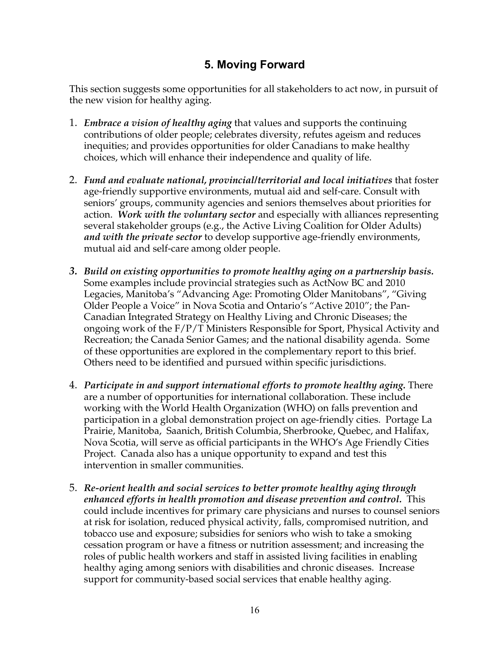# **5. Moving Forward**

This section suggests some opportunities for all stakeholders to act now, in pursuit of the new vision for healthy aging.

- 1. *Embrace a vision of healthy aging* that values and supports the continuing contributions of older people; celebrates diversity, refutes ageism and reduces inequities; and provides opportunities for older Canadians to make healthy choices, which will enhance their independence and quality of life.
- 2. *Fund and evaluate national, provincial/territorial and local initiatives* that foster age-friendly supportive environments, mutual aid and self-care. Consult with seniors' groups, community agencies and seniors themselves about priorities for action. *Work with the voluntary sector* and especially with alliances representing several stakeholder groups (e.g., the Active Living Coalition for Older Adults) *and with the private sector* to develop supportive age-friendly environments, mutual aid and self-care among older people.
- *3. Build on existing opportunities to promote healthy aging on a partnership basis.* Some examples include provincial strategies such as ActNow BC and 2010 Legacies, Manitoba's "Advancing Age: Promoting Older Manitobans", "Giving Older People a Voice" in Nova Scotia and Ontario's "Active 2010"; the Pan-Canadian Integrated Strategy on Healthy Living and Chronic Diseases; the ongoing work of the F/P/T Ministers Responsible for Sport, Physical Activity and Recreation; the Canada Senior Games; and the national disability agenda. Some of these opportunities are explored in the complementary report to this brief. Others need to be identified and pursued within specific jurisdictions.
- 4. *Participate in and support international efforts to promote healthy aging.* There are a number of opportunities for international collaboration. These include working with the World Health Organization (WHO) on falls prevention and participation in a global demonstration project on age-friendly cities. Portage La Prairie, Manitoba, Saanich, British Columbia, Sherbrooke, Quebec, and Halifax, Nova Scotia, will serve as official participants in the WHO's Age Friendly Cities Project. Canada also has a unique opportunity to expand and test this intervention in smaller communities.
- 5. *Re-orient health and social services to better promote healthy aging through enhanced efforts in health promotion and disease prevention and control.* This could include incentives for primary care physicians and nurses to counsel seniors at risk for isolation, reduced physical activity, falls, compromised nutrition, and tobacco use and exposure; subsidies for seniors who wish to take a smoking cessation program or have a fitness or nutrition assessment; and increasing the roles of public health workers and staff in assisted living facilities in enabling healthy aging among seniors with disabilities and chronic diseases. Increase support for community-based social services that enable healthy aging.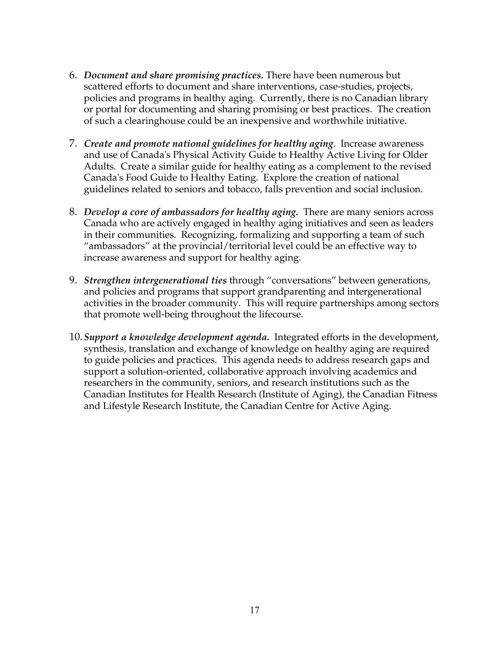- 6. *Document and share promising practices.* There have been numerous but scattered efforts to document and share interventions, case-studies, projects, policies and programs in healthy aging. Currently, there is no Canadian library or portal for documenting and sharing promising or best practices. The creation of such a clearinghouse could be an inexpensive and worthwhile initiative.
- 7. *Create and promote national guidelines for healthy aging*. Increase awareness and use of Canada's Physical Activity Guide to Healthy Active Living for Older Adults. Create a similar guide for healthy eating as a complement to the revised Canada's Food Guide to Healthy Eating. Explore the creation of national guidelines related to seniors and tobacco, falls prevention and social inclusion.
- 8. *Develop a core of ambassadors for healthy aging.* There are many seniors across Canada who are actively engaged in healthy aging initiatives and seen as leaders in their communities. Recognizing, formalizing and supporting a team of such "ambassadors" at the provincial/territorial level could be an effective way to increase awareness and support for healthy aging.
- 9. *Strengthen intergenerational ties* through "conversations" between generations, and policies and programs that support grandparenting and intergenerational activities in the broader community. This will require partnerships among sectors that promote well-being throughout the lifecourse.
- 10.*Support a knowledge development agenda.*Integrated efforts in the development, synthesis, translation and exchange of knowledge on healthy aging are required to guide policies and practices. This agenda needs to address research gaps and support a solution-oriented, collaborative approach involving academics and researchers in the community, seniors, and research institutions such as the Canadian Institutes for Health Research (Institute of Aging), the Canadian Fitness and Lifestyle Research Institute, the Canadian Centre for Active Aging.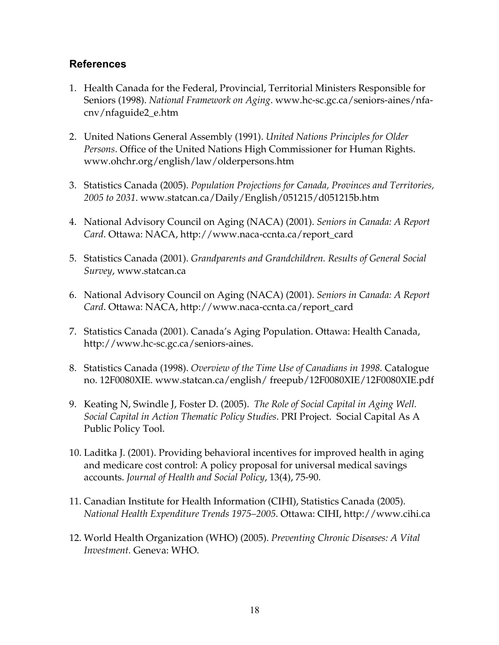### **References**

- 1. Health Canada for the Federal, Provincial, Territorial Ministers Responsible for Seniors (1998). *National Framework on Aging*. www.hc-sc.gc.ca/seniors-aines/nfacnv/nfaguide2\_e.htm
- 2. United Nations General Assembly (1991). *United Nations Principles for Older Persons*. Office of the United Nations High Commissioner for Human Rights. www.ohchr.org/english/law/olderpersons.htm
- 3. Statistics Canada (2005). *Population Projections for Canada, Provinces and Territories, 2005 to 2031*. www.statcan.ca/Daily/English/051215/d051215b.htm
- 4. National Advisory Council on Aging (NACA) (2001). *Seniors in Canada: A Report Card*. Ottawa: NACA, http://www.naca-ccnta.ca/report\_card
- 5. Statistics Canada (2001). *Grandparents and Grandchildren. Results of General Social Survey*, www.statcan.ca
- 6. National Advisory Council on Aging (NACA) (2001). *Seniors in Canada: A Report Card*. Ottawa: NACA, http://www.naca-ccnta.ca/report\_card
- 7. Statistics Canada (2001). Canada's Aging Population. Ottawa: Health Canada, http://www.hc-sc.gc.ca/seniors-aines.
- 8. Statistics Canada (1998). *Overview of the Time Use of Canadians in 1998.* Catalogue no. 12F0080XIE. www.statcan.ca/english/ freepub/12F0080XIE/12F0080XIE.pdf
- 9. Keating N, Swindle J, Foster D. (2005). *The Role of Social Capital in Aging Well. Social Capital in Action Thematic Policy Studies*. PRI Project. Social Capital As A Public Policy Tool.
- 10. Laditka J. (2001). Providing behavioral incentives for improved health in aging and medicare cost control: A policy proposal for universal medical savings accounts. *Journal of Health and Social Policy*, 13(4), 75-90.
- 11. Canadian Institute for Health Information (CIHI), Statistics Canada (2005). *National Health Expenditure Trends 1975–2005*. Ottawa: CIHI, http://www.cihi.ca
- 12. World Health Organization (WHO) (2005). *Preventing Chronic Diseases: A Vital Investment.* Geneva: WHO.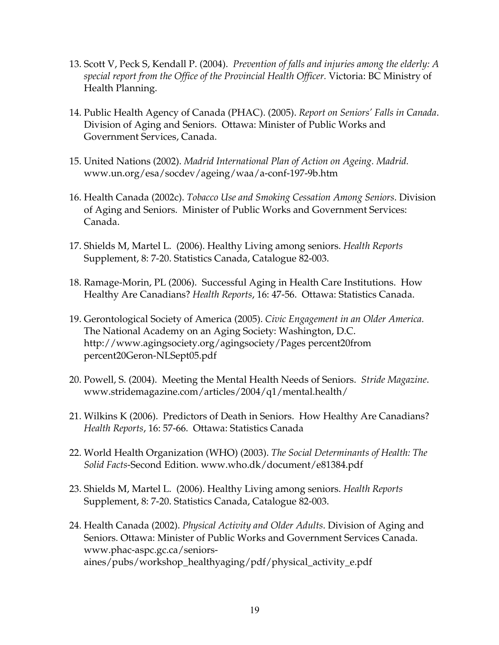- 13. Scott V, Peck S, Kendall P. (2004). *Prevention of falls and injuries among the elderly: A special report from the Office of the Provincial Health Officer.* Victoria: BC Ministry of Health Planning.
- 14. Public Health Agency of Canada (PHAC). (2005). *Report on Seniors' Falls in Canada*. Division of Aging and Seniors. Ottawa: Minister of Public Works and Government Services, Canada.
- 15. United Nations (2002). *Madrid International Plan of Action on Ageing. Madrid.* www.un.org/esa/socdev/ageing/waa/a-conf-197-9b.htm
- 16. Health Canada (2002c). *Tobacco Use and Smoking Cessation Among Seniors*. Division of Aging and Seniors. Minister of Public Works and Government Services: Canada.
- 17. Shields M, Martel L. (2006). Healthy Living among seniors. *Health Reports* Supplement, 8: 7-20. Statistics Canada, Catalogue 82-003.
- 18. Ramage-Morin, PL (2006). Successful Aging in Health Care Institutions. How Healthy Are Canadians? *Health Reports*, 16: 47-56. Ottawa: Statistics Canada.
- 19. Gerontological Society of America (2005). *Civic Engagement in an Older America.* The National Academy on an Aging Society: Washington, D.C. http://www.agingsociety.org/agingsociety/Pages percent20from percent20Geron-NLSept05.pdf
- 20. Powell, S. (2004). Meeting the Mental Health Needs of Seniors. *Stride Magazine*. www.stridemagazine.com/articles/2004/q1/mental.health/
- 21. Wilkins K (2006). Predictors of Death in Seniors. How Healthy Are Canadians? *Health Reports*, 16: 57-66. Ottawa: Statistics Canada
- 22. World Health Organization (WHO) (2003). *The Social Determinants of Health: The Solid Facts*-Second Edition. www.who.dk/document/e81384.pdf
- 23. Shields M, Martel L. (2006). Healthy Living among seniors. *Health Reports* Supplement, 8: 7-20. Statistics Canada, Catalogue 82-003.
- 24. Health Canada (2002). *Physical Activity and Older Adults*. Division of Aging and Seniors. Ottawa: Minister of Public Works and Government Services Canada. www.phac-aspc.gc.ca/seniorsaines/pubs/workshop\_healthyaging/pdf/physical\_activity\_e.pdf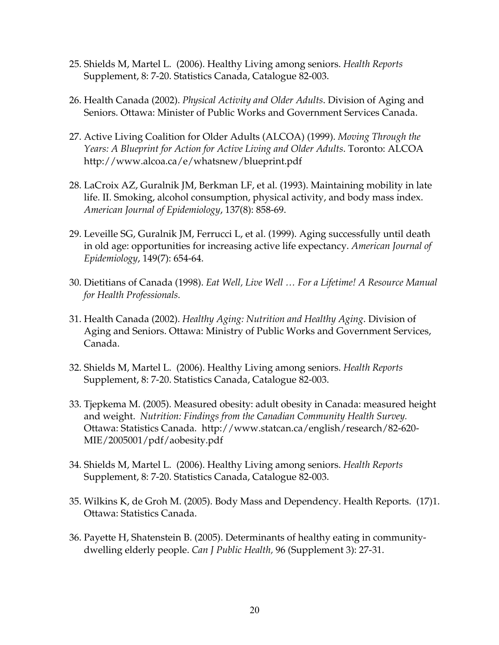- 25. Shields M, Martel L. (2006). Healthy Living among seniors. *Health Reports* Supplement, 8: 7-20. Statistics Canada, Catalogue 82-003.
- 26. Health Canada (2002). *Physical Activity and Older Adults*. Division of Aging and Seniors. Ottawa: Minister of Public Works and Government Services Canada.
- 27. Active Living Coalition for Older Adults (ALCOA) (1999). *Moving Through the Years: A Blueprint for Action for Active Living and Older Adults*. Toronto: ALCOA http://www.alcoa.ca/e/whatsnew/blueprint.pdf
- 28. LaCroix AZ, Guralnik JM, Berkman LF, et al. (1993). Maintaining mobility in late life. II. Smoking, alcohol consumption, physical activity, and body mass index. *American Journal of Epidemiology*, 137(8): 858-69.
- 29. Leveille SG, Guralnik JM, Ferrucci L, et al. (1999). Aging successfully until death in old age: opportunities for increasing active life expectancy. *American Journal of Epidemiology*, 149(7): 654-64.
- 30. Dietitians of Canada (1998). *Eat Well, Live Well … For a Lifetime! A Resource Manual for Health Professionals.*
- 31. Health Canada (2002). *Healthy Aging: Nutrition and Healthy Aging*. Division of Aging and Seniors. Ottawa: Ministry of Public Works and Government Services, Canada.
- 32. Shields M, Martel L. (2006). Healthy Living among seniors. *Health Reports* Supplement, 8: 7-20. Statistics Canada, Catalogue 82-003.
- 33. Tjepkema M. (2005). Measured obesity: adult obesity in Canada: measured height and weight. *Nutrition: Findings from the Canadian Community Health Survey.*  Ottawa: Statistics Canada. http://www.statcan.ca/english/research/82-620- MIE/2005001/pdf/aobesity.pdf
- 34. Shields M, Martel L. (2006). Healthy Living among seniors. *Health Reports* Supplement, 8: 7-20. Statistics Canada, Catalogue 82-003.
- 35. Wilkins K, de Groh M. (2005). Body Mass and Dependency. Health Reports. (17)1. Ottawa: Statistics Canada.
- 36. Payette H, Shatenstein B. (2005). Determinants of healthy eating in communitydwelling elderly people. *Can J Public Health,* 96 (Supplement 3): 27-31.